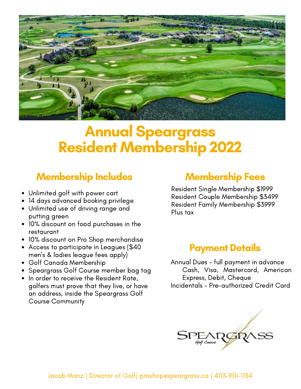

# Annual Speargrass Resident Membership 2022

### Membership Includes Membership Fees

- Unlimited golf with power cart
- 14 days advanced booking privilege
- Unlimited use of driving range and putting green
- 10% discount on food purchases in the restaurant
- 10% discount on Pro Shop merchandise
- Access to participate in Leagues (\$40 men's & ladies league fees apply)
- Golf Canada Membership
- Speargrass Golf Course member bag tag
- In order to receive the Resident Rate, golfers must prove that they live, or have an address, inside the Speargrass Golf Course Community

Resident Single Membership \$1999 Resident Couple Membership \$3499 Resident Family Membership \$3999 Plus tax

### Payment Details

Annual Dues - full payment in advance Cash, Visa, Mastercard, American Express, Debit, Cheque Incidentals - Pre-authorized Credit Card